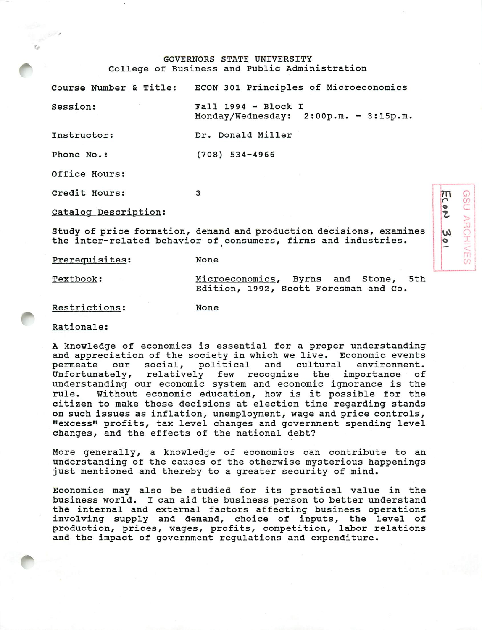## GOVERNORS STATE UNIVERSITY College of Business and Public Administration

|                      | Course Number & Title: ECON 301 Principles of Microeconomics                                                                          |
|----------------------|---------------------------------------------------------------------------------------------------------------------------------------|
| Session:             | $Fall 1994 - Block I$<br>Monday/Wednesday: 2:00p.m. - 3:15p.m.                                                                        |
| Instructor:          | Dr. Donald Miller                                                                                                                     |
| Phone No.:           | $(708)$ 534-4966                                                                                                                      |
| Office Hours:        |                                                                                                                                       |
| Credit Hours:        | 3                                                                                                                                     |
| Catalog Description: |                                                                                                                                       |
|                      | Study of price formation, demand and production decisions, examines<br>the inter-related behavior of consumers, firms and industries. |
| Prerequisites:       | None                                                                                                                                  |

*1*

*o Z*

*^ o*

*DO ARCHIVE* 

Textbook: Microeconomics, Byrns and Stone, 5th Edition, 1992, Scott Foresman and Co.

None

## Restrictions:

Rationale:

A knowledge of economics is essential for a proper understanding and appreciation of the society in which we live. Economic events permeate our social, political and cultural environment.<br>Unfortunately, relatively few recognize the importance of relatively few recognize the understanding our economic system and economic ignorance is the rule. Without economic education, how is it possible for the citizen to make those decisions at election time regarding stands on such issues as inflation, unemployment, wage and price controls, "excess" profits, tax level changes and government spending level changes, and the effects of the national debt?

More generally, a knowledge of economics can contribute to an understanding of the causes of the otherwise mysterious happenings just mentioned and thereby to a greater security of mind.

Economics may also be studied for its practical value in the business world. I can aid the business person to better understand the internal and external factors affecting business operations involving supply and demand, choice of inputs, the level of production, prices, wages, profits, competition, labor relations and the impact of government regulations and expenditure.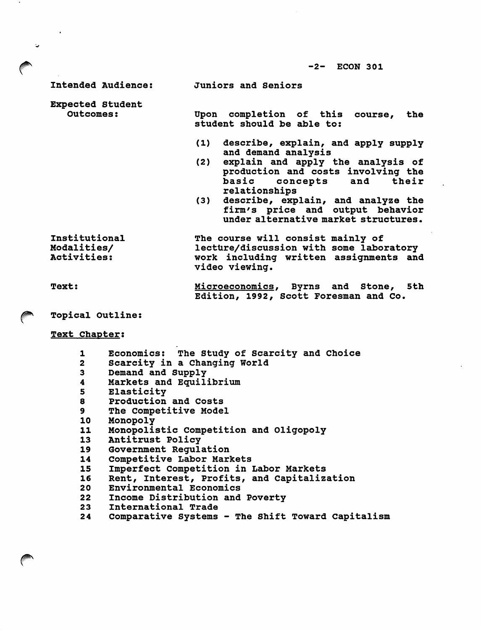-2- ECON 301

Intended Audience:

Juniors and Seniors

Expected Student Outcomes:

 $\sim$ 

 $\ddot{\phantom{a}}$ 

Upon completion of this course, the student should be able to:

- (1) describe, explain, and apply supply and demand analysis
- (2) explain and apply the analysis of production and costs involving the basic concepts and their relationships
- (3) describe, explain, and analyze the firm's price and output behavior under alternative market structures.

Institutional Modalities/ Activities:

The course will consist mainly of lecture/discussion with some laboratory work including written assignments and video viewing.

Text:

Microeconomics, Byrns and Stone, 5th Edition, 1992, Scott Foresman and Co.

*f^* Topical Outline:

Text Chapter:

- 1 Economics: The Study of Scarcity and Choice<br>2 Scarcity in a Changing World
- Scarcity in a Changing World
- 3 Demand and Supply<br>4 Markets and Equil
- 4 Markets and Equilibrium
- 5 Elasticity<br>8 Production
- 8 Production and Costs<br>9 The Competitive Mode.
- The Competitive Model
- 10 Monopoly
- 11 Monopolistic Competition and Oligopoly
- 13 Antitrust Policy
- 19 Government Regulation
- 14 Competitive Labor Markets
- 15 Imperfect Competition in Labor Markets<br>16 Rent, Interest, Profits, and Capitaliz
- 16 Rent, Interest, Profits, and Capitalization<br>20 Environmental Economics
- 20 Environmental Economics<br>22 Income Distribution and
- 22 Income Distribution and Poverty<br>23 International Trade
- International Trade
- 24 Comparative Systems The Shift Toward Capitalism